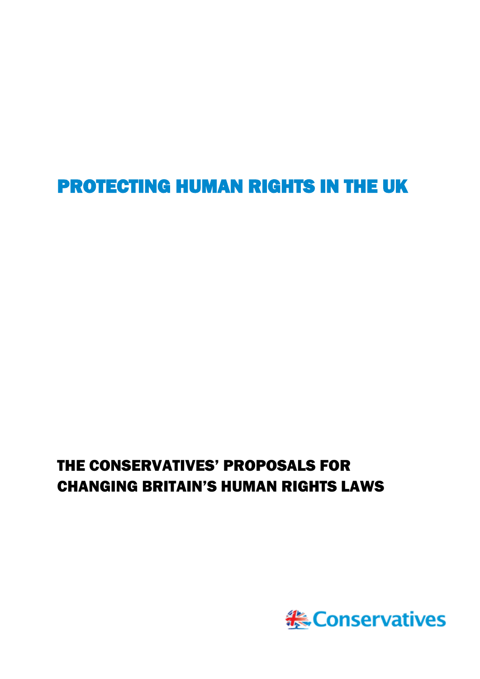PROTECTING HUMAN RIGHTS IN THE UK

# THE CONSERVATIVES' PROPOSALS FOR CHANGING BRITAIN'S HUMAN RIGHTS LAWS

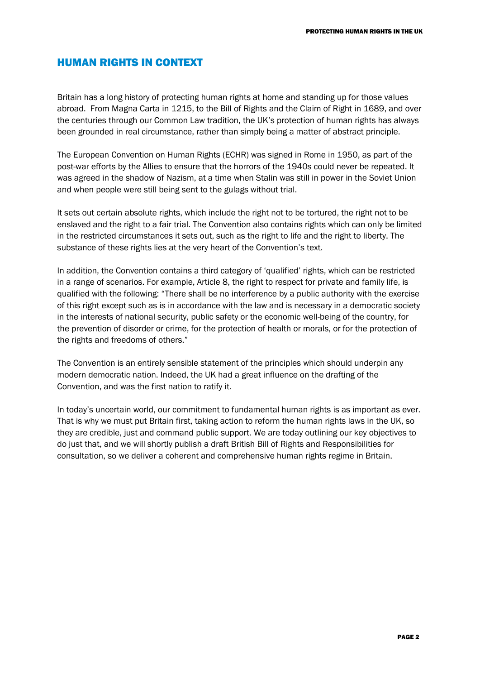## HUMAN RIGHTS IN CONTEXT

Britain has a long history of protecting human rights at home and standing up for those values abroad. From Magna Carta in 1215, to the Bill of Rights and the Claim of Right in 1689, and over the centuries through our Common Law tradition, the UK's protection of human rights has always been grounded in real circumstance, rather than simply being a matter of abstract principle.

The European Convention on Human Rights (ECHR) was signed in Rome in 1950, as part of the post-war efforts by the Allies to ensure that the horrors of the 1940s could never be repeated. It was agreed in the shadow of Nazism, at a time when Stalin was still in power in the Soviet Union and when people were still being sent to the gulags without trial.

It sets out certain absolute rights, which include the right not to be tortured, the right not to be enslaved and the right to a fair trial. The Convention also contains rights which can only be limited in the restricted circumstances it sets out, such as the right to life and the right to liberty. The substance of these rights lies at the very heart of the Convention's text.

In addition, the Convention contains a third category of 'qualified' rights, which can be restricted in a range of scenarios. For example, Article 8, the right to respect for private and family life, is qualified with the following: "There shall be no interference by a public authority with the exercise of this right except such as is in accordance with the law and is necessary in a democratic society in the interests of national security, public safety or the economic well-being of the country, for the prevention of disorder or crime, for the protection of health or morals, or for the protection of the rights and freedoms of others."

The Convention is an entirely sensible statement of the principles which should underpin any modern democratic nation. Indeed, the UK had a great influence on the drafting of the Convention, and was the first nation to ratify it.

In today's uncertain world, our commitment to fundamental human rights is as important as ever. That is why we must put Britain first, taking action to reform the human rights laws in the UK, so they are credible, just and command public support. We are today outlining our key objectives to do just that, and we will shortly publish a draft British Bill of Rights and Responsibilities for consultation, so we deliver a coherent and comprehensive human rights regime in Britain.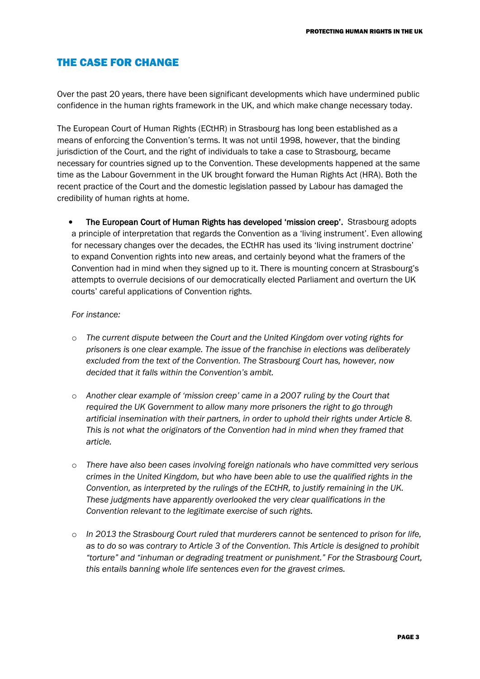## THE CASE FOR CHANGE

Over the past 20 years, there have been significant developments which have undermined public confidence in the human rights framework in the UK, and which make change necessary today.

The European Court of Human Rights (ECtHR) in Strasbourg has long been established as a means of enforcing the Convention's terms. It was not until 1998, however, that the binding jurisdiction of the Court, and the right of individuals to take a case to Strasbourg, became necessary for countries signed up to the Convention. These developments happened at the same time as the Labour Government in the UK brought forward the Human Rights Act (HRA). Both the recent practice of the Court and the domestic legislation passed by Labour has damaged the credibility of human rights at home.

The European Court of Human Rights has developed 'mission creep'. Strasbourg adopts a principle of interpretation that regards the Convention as a 'living instrument'. Even allowing for necessary changes over the decades, the ECtHR has used its 'living instrument doctrine' to expand Convention rights into new areas, and certainly beyond what the framers of the Convention had in mind when they signed up to it. There is mounting concern at Strasbourg's attempts to overrule decisions of our democratically elected Parliament and overturn the UK courts' careful applications of Convention rights.

#### *For instance:*

- o *The current dispute between the Court and the United Kingdom over voting rights for prisoners is one clear example. The issue of the franchise in elections was deliberately excluded from the text of the Convention. The Strasbourg Court has, however, now decided that it falls within the Convention's ambit.*
- o *Another clear example of 'mission creep' came in a 2007 ruling by the Court that required the UK Government to allow many more prisoners the right to go through artificial insemination with their partners, in order to uphold their rights under Article 8. This is not what the originators of the Convention had in mind when they framed that article.*
- o *There have also been cases involving foreign nationals who have committed very serious crimes in the United Kingdom, but who have been able to use the qualified rights in the Convention, as interpreted by the rulings of the ECtHR, to justify remaining in the UK. These judgments have apparently overlooked the very clear qualifications in the Convention relevant to the legitimate exercise of such rights.*
- o *In 2013 the Strasbourg Court ruled that murderers cannot be sentenced to prison for life, as to do so was contrary to Article 3 of the Convention. This Article is designed to prohibit "torture" and "inhuman or degrading treatment or punishment." For the Strasbourg Court, this entails banning whole life sentences even for the gravest crimes.*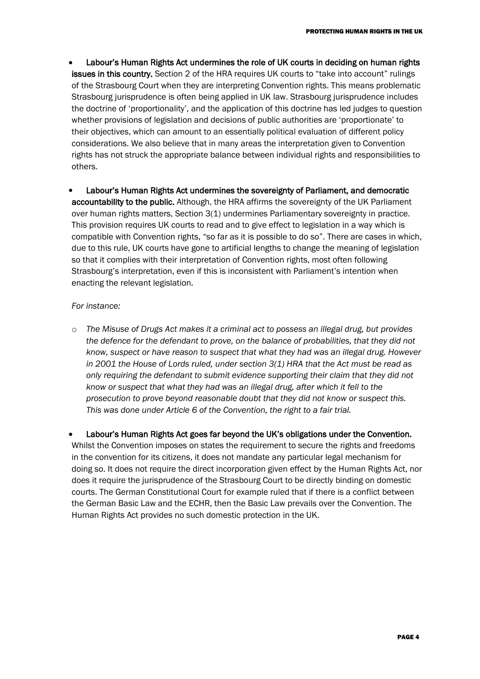- Labour's Human Rights Act undermines the role of UK courts in deciding on human rights issues in this country. Section 2 of the HRA requires UK courts to "take into account" rulings of the Strasbourg Court when they are interpreting Convention rights. This means problematic Strasbourg jurisprudence is often being applied in UK law. Strasbourg jurisprudence includes the doctrine of 'proportionality', and the application of this doctrine has led judges to question whether provisions of legislation and decisions of public authorities are 'proportionate' to their objectives, which can amount to an essentially political evaluation of different policy considerations. We also believe that in many areas the interpretation given to Convention rights has not struck the appropriate balance between individual rights and responsibilities to others.
- Labour's Human Rights Act undermines the sovereignty of Parliament, and democratic accountability to the public. Although, the HRA affirms the sovereignty of the UK Parliament over human rights matters, Section 3(1) undermines Parliamentary sovereignty in practice. This provision requires UK courts to read and to give effect to legislation in a way which is compatible with Convention rights, "so far as it is possible to do so". There are cases in which, due to this rule, UK courts have gone to artificial lengths to change the meaning of legislation so that it complies with their interpretation of Convention rights, most often following Strasbourg's interpretation, even if this is inconsistent with Parliament's intention when enacting the relevant legislation.

### *For instance:*

o *The Misuse of Drugs Act makes it a criminal act to possess an illegal drug, but provides the defence for the defendant to prove, on the balance of probabilities, that they did not know, suspect or have reason to suspect that what they had was an illegal drug. However in 2001 the House of Lords ruled, under section 3(1) HRA that the Act must be read as only requiring the defendant to submit evidence supporting their claim that they did not know or suspect that what they had was an illegal drug, after which it fell to the prosecution to prove beyond reasonable doubt that they did not know or suspect this. This was done under Article 6 of the Convention, the right to a fair trial.* 

Labour's Human Rights Act goes far beyond the UK's obligations under the Convention.

Whilst the Convention imposes on states the requirement to secure the rights and freedoms in the convention for its citizens, it does not mandate any particular legal mechanism for doing so. It does not require the direct incorporation given effect by the Human Rights Act, nor does it require the jurisprudence of the Strasbourg Court to be directly binding on domestic courts. The German Constitutional Court for example ruled that if there is a conflict between the German Basic Law and the ECHR, then the Basic Law prevails over the Convention. The Human Rights Act provides no such domestic protection in the UK.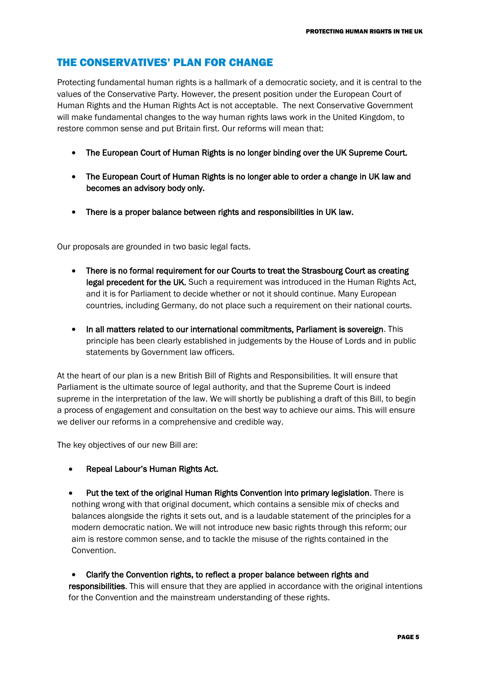## THE CONSERVATIVES' PLAN FOR CHANGE

Protecting fundamental human rights is a hallmark of a democratic society, and it is central to the values of the Conservative Party. However, the present position under the European Court of Human Rights and the Human Rights Act is not acceptable. The next Conservative Government will make fundamental changes to the way human rights laws work in the United Kingdom, to restore common sense and put Britain first. Our reforms will mean that:

- The European Court of Human Rights is no longer binding over the UK Supreme Court.
- The European Court of Human Rights is no longer able to order a change in UK law and becomes an advisory body only.
- There is a proper balance between rights and responsibilities in UK law.

Our proposals are grounded in two basic legal facts.

- There is no formal requirement for our Courts to treat the Strasbourg Court as creating legal precedent for the UK. Such a requirement was introduced in the Human Rights Act, and it is for Parliament to decide whether or not it should continue. Many European countries, including Germany, do not place such a requirement on their national courts.
- In all matters related to our international commitments, Parliament is sovereign. This principle has been clearly established in judgements by the House of Lords and in public statements by Government law officers.

At the heart of our plan is a new British Bill of Rights and Responsibilities. It will ensure that Parliament is the ultimate source of legal authority, and that the Supreme Court is indeed supreme in the interpretation of the law. We will shortly be publishing a draft of this Bill, to begin a process of engagement and consultation on the best way to achieve our aims. This will ensure we deliver our reforms in a comprehensive and credible way.

The key objectives of our new Bill are:

- Repeal Labour's Human Rights Act.
- Put the text of the original Human Rights Convention into primary legislation. There is nothing wrong with that original document, which contains a sensible mix of checks and balances alongside the rights it sets out, and is a laudable statement of the principles for a modern democratic nation. We will not introduce new basic rights through this reform; our aim is restore common sense, and to tackle the misuse of the rights contained in the Convention.

Clarify the Convention rights, to reflect a proper balance between rights and responsibilities. This will ensure that they are applied in accordance with the original intentions for the Convention and the mainstream understanding of these rights.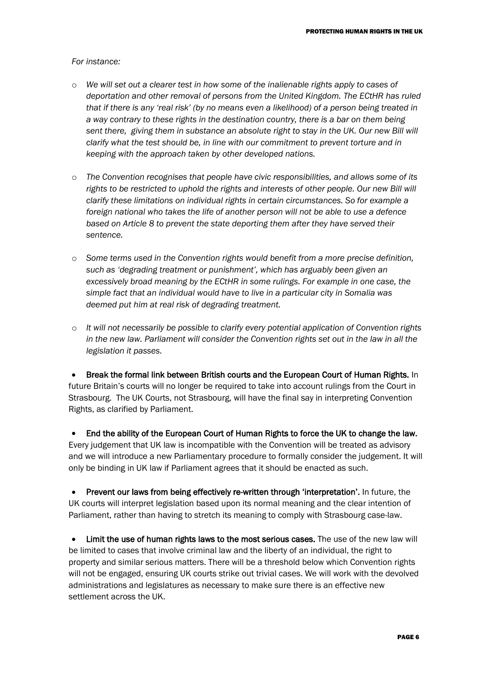#### *For instance:*

- o *We will set out a clearer test in how some of the inalienable rights apply to cases of deportation and other removal of persons from the United Kingdom. The ECtHR has ruled that if there is any 'real risk' (by no means even a likelihood) of a person being treated in a way contrary to these rights in the destination country, there is a bar on them being sent there, giving them in substance an absolute right to stay in the UK. Our new Bill will clarify what the test should be, in line with our commitment to prevent torture and in keeping with the approach taken by other developed nations.*
- o *The Convention recognises that people have civic responsibilities, and allows some of its rights to be restricted to uphold the rights and interests of other people. Our new Bill will clarify these limitations on individual rights in certain circumstances. So for example a foreign national who takes the life of another person will not be able to use a defence based on Article 8 to prevent the state deporting them after they have served their sentence.*
- o *Some terms used in the Convention rights would benefit from a more precise definition, such as 'degrading treatment or punishment', which has arguably been given an excessively broad meaning by the ECtHR in some rulings. For example in one case, the simple fact that an individual would have to live in a particular city in Somalia was deemed put him at real risk of degrading treatment.*
- o *It will not necessarily be possible to clarify every potential application of Convention rights*  in the new law. Parliament will consider the Convention rights set out in the law in all the *legislation it passes.*

Break the formal link between British courts and the European Court of Human Rights. In future Britain's courts will no longer be required to take into account rulings from the Court in Strasbourg. The UK Courts, not Strasbourg, will have the final say in interpreting Convention Rights, as clarified by Parliament.

End the ability of the European Court of Human Rights to force the UK to change the law. Every judgement that UK law is incompatible with the Convention will be treated as advisory and we will introduce a new Parliamentary procedure to formally consider the judgement. It will only be binding in UK law if Parliament agrees that it should be enacted as such.

Prevent our laws from being effectively re-written through 'interpretation'. In future, the UK courts will interpret legislation based upon its normal meaning and the clear intention of Parliament, rather than having to stretch its meaning to comply with Strasbourg case-law.

Limit the use of human rights laws to the most serious cases. The use of the new law will be limited to cases that involve criminal law and the liberty of an individual, the right to property and similar serious matters. There will be a threshold below which Convention rights will not be engaged, ensuring UK courts strike out trivial cases. We will work with the devolved administrations and legislatures as necessary to make sure there is an effective new settlement across the UK.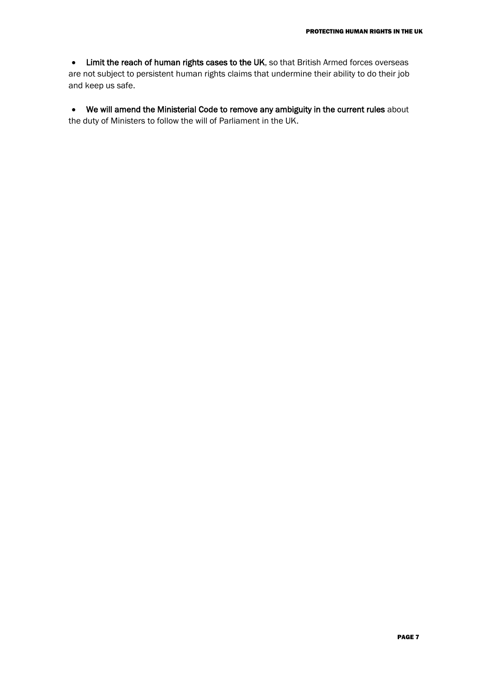• Limit the reach of human rights cases to the UK, so that British Armed forces overseas are not subject to persistent human rights claims that undermine their ability to do their job and keep us safe.

• We will amend the Ministerial Code to remove any ambiguity in the current rules about the duty of Ministers to follow the will of Parliament in the UK.